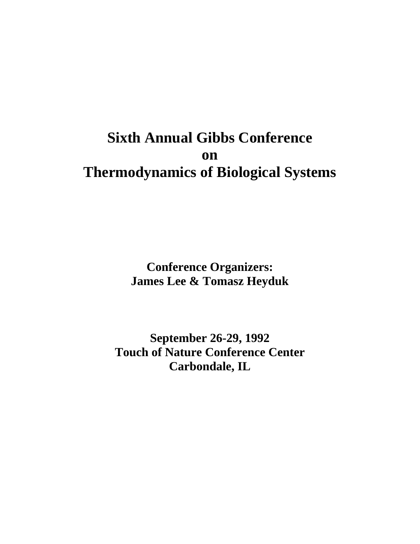# **Sixth Annual Gibbs Conference on Thermodynamics of Biological Systems**

**Conference Organizers: James Lee & Tomasz Heyduk** 

**September 26-29, 1992 Touch of Nature Conference Center Carbondale, IL**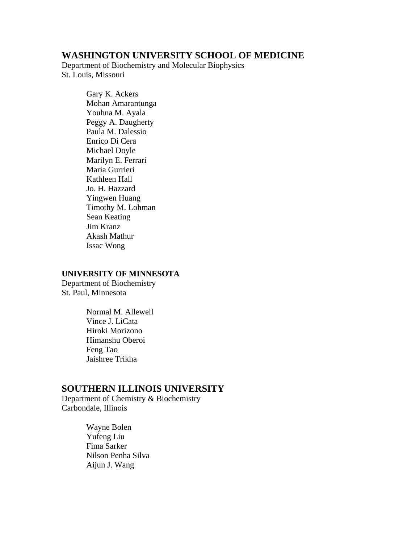#### **WASHINGTON UNIVERSITY SCHOOL OF MEDICINE**

Department of Biochemistry and Molecular Biophysics St. Louis, Missouri

> Gary K. Ackers Mohan Amarantunga Youhna M. Ayala Peggy A. Daugherty Paula M. Dalessio Enrico Di Cera Michael Doyle Marilyn E. Ferrari Maria Gurrieri Kathleen Hall Jo. H. Hazzard Yingwen Huang Timothy M. Lohman Sean Keating Jim Kranz Akash Mathur Issac Wong

#### **UNIVERSITY OF MINNESOTA**

Department of Biochemistry St. Paul, Minnesota

> Normal M. Allewell Vince J. LiCata Hiroki Morizono Himanshu Oberoi Feng Tao Jaishree Trikha

## **SOUTHERN ILLINOIS UNIVERSITY**

Department of Chemistry & Biochemistry Carbondale, Illinois

> Wayne Bolen Yufeng Liu Fima Sarker Nilson Penha Silva Aijun J. Wang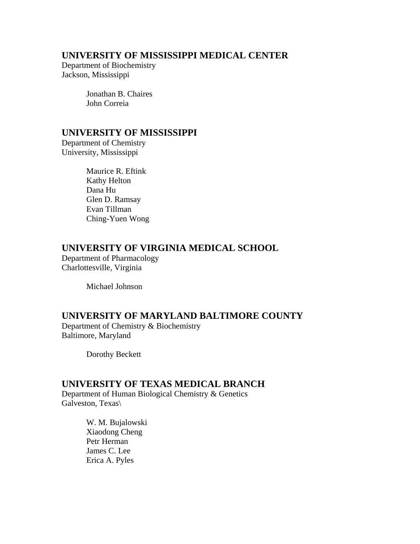## **UNIVERSITY OF MISSISSIPPI MEDICAL CENTER**

Department of Biochemistry Jackson, Mississippi

> Jonathan B. Chaires John Correia

## **UNIVERSITY OF MISSISSIPPI**

Department of Chemistry University, Mississippi

> Maurice R. Eftink Kathy Helton Dana Hu Glen D. Ramsay Evan Tillman Ching-Yuen Wong

## **UNIVERSITY OF VIRGINIA MEDICAL SCHOOL**

Department of Pharmacology Charlottesville, Virginia

Michael Johnson

## **UNIVERSITY OF MARYLAND BALTIMORE COUNTY**

Department of Chemistry & Biochemistry Baltimore, Maryland

Dorothy Beckett

## **UNIVERSITY OF TEXAS MEDICAL BRANCH**

Department of Human Biological Chemistry & Genetics Galveston, Texas\

> W. M. Bujalowski Xiaodong Cheng Petr Herman James C. Lee Erica A. Pyles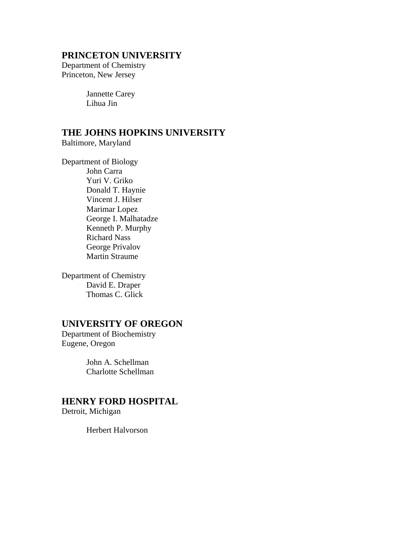#### **PRINCETON UNIVERSITY**

Department of Chemistry Princeton, New Jersey

> Jannette Carey Lihua Jin

# **THE JOHNS HOPKINS UNIVERSITY**

Baltimore, Maryland

Department of Biology John Carra Yuri V. Griko Donald T. Haynie Vincent J. Hilser Marimar Lopez George I. Malhatadze Kenneth P. Murphy Richard Nass George Privalov Martin Straume

Department of Chemistry David E. Draper Thomas C. Glick

## **UNIVERSITY OF OREGON**

Department of Biochemistry Eugene, Oregon

> John A. Schellman Charlotte Schellman

## **HENRY FORD HOSPITAL**

Detroit, Michigan

Herbert Halvorson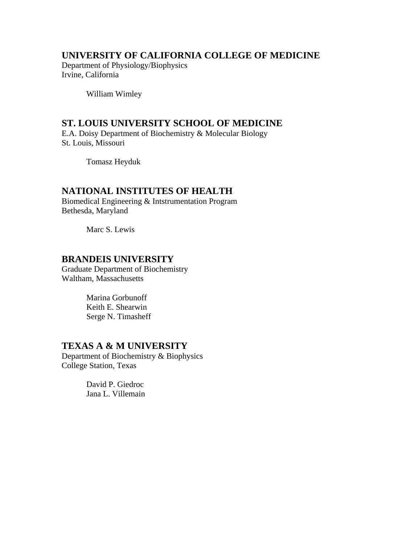## **UNIVERSITY OF CALIFORNIA COLLEGE OF MEDICINE**

Department of Physiology/Biophysics Irvine, California

William Wimley

## **ST. LOUIS UNIVERSITY SCHOOL OF MEDICINE**

E.A. Doisy Department of Biochemistry & Molecular Biology St. Louis, Missouri

Tomasz Heyduk

#### **NATIONAL INSTITUTES OF HEALTH**

Biomedical Engineering & Intstrumentation Program Bethesda, Maryland

Marc S. Lewis

### **BRANDEIS UNIVERSITY**

Graduate Department of Biochemistry Waltham, Massachusetts

> Marina Gorbunoff Keith E. Shearwin Serge N. Timasheff

#### **TEXAS A & M UNIVERSITY**

Department of Biochemistry & Biophysics College Station, Texas

> David P. Giedroc Jana L. Villemain